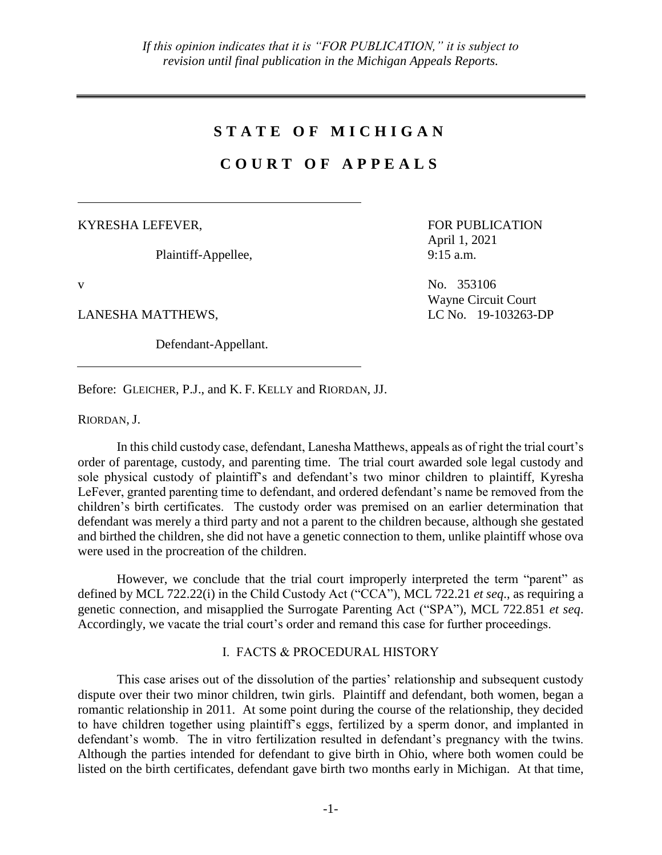# **S T A T E O F M I C H I G A N**

# **C O U R T O F A P P E A L S**

KYRESHA LEFEVER,

Plaintiff-Appellee,

LANESHA MATTHEWS, LONG LC No. 19-103263-DP

Defendant-Appellant.

FOR PUBLICATION April 1, 2021 9:15 a.m.

v No. 353106 Wayne Circuit Court

Before: GLEICHER, P.J., and K. F. KELLY and RIORDAN, JJ.

RIORDAN, J.

In this child custody case, defendant, Lanesha Matthews, appeals as of right the trial court's order of parentage, custody, and parenting time. The trial court awarded sole legal custody and sole physical custody of plaintiff's and defendant's two minor children to plaintiff, Kyresha LeFever, granted parenting time to defendant, and ordered defendant's name be removed from the children's birth certificates. The custody order was premised on an earlier determination that defendant was merely a third party and not a parent to the children because, although she gestated and birthed the children, she did not have a genetic connection to them, unlike plaintiff whose ova were used in the procreation of the children.

However, we conclude that the trial court improperly interpreted the term "parent" as defined by MCL 722.22(i) in the Child Custody Act ("CCA"), MCL 722.21 *et seq*., as requiring a genetic connection, and misapplied the Surrogate Parenting Act ("SPA"), MCL 722.851 *et seq*. Accordingly, we vacate the trial court's order and remand this case for further proceedings.

## I. FACTS & PROCEDURAL HISTORY

This case arises out of the dissolution of the parties' relationship and subsequent custody dispute over their two minor children, twin girls. Plaintiff and defendant, both women, began a romantic relationship in 2011. At some point during the course of the relationship, they decided to have children together using plaintiff's eggs, fertilized by a sperm donor, and implanted in defendant's womb. The in vitro fertilization resulted in defendant's pregnancy with the twins. Although the parties intended for defendant to give birth in Ohio, where both women could be listed on the birth certificates, defendant gave birth two months early in Michigan. At that time,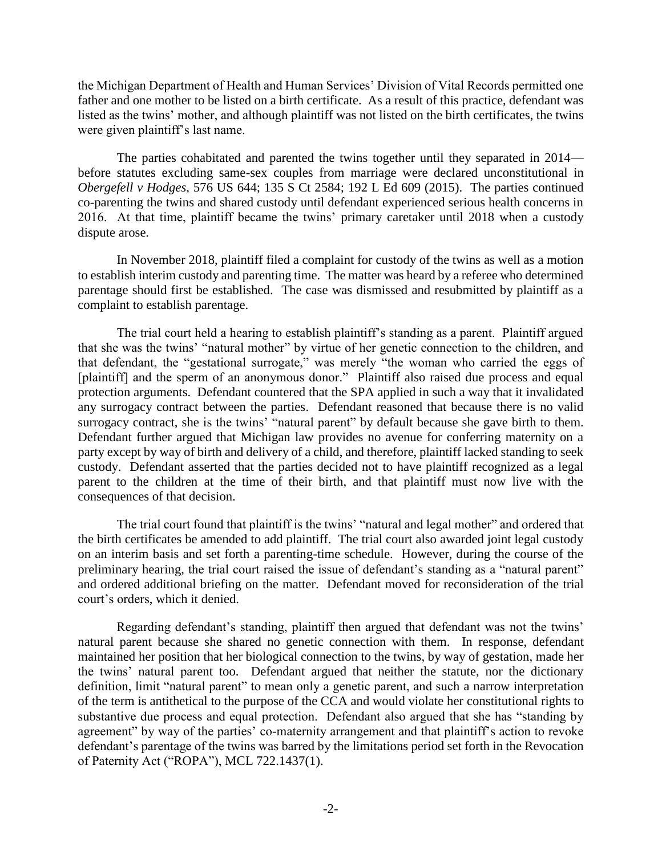the Michigan Department of Health and Human Services' Division of Vital Records permitted one father and one mother to be listed on a birth certificate. As a result of this practice, defendant was listed as the twins' mother, and although plaintiff was not listed on the birth certificates, the twins were given plaintiff's last name.

The parties cohabitated and parented the twins together until they separated in 2014 before statutes excluding same-sex couples from marriage were declared unconstitutional in *Obergefell v Hodges*, 576 US 644; 135 S Ct 2584; 192 L Ed 609 (2015). The parties continued co-parenting the twins and shared custody until defendant experienced serious health concerns in 2016. At that time, plaintiff became the twins' primary caretaker until 2018 when a custody dispute arose.

In November 2018, plaintiff filed a complaint for custody of the twins as well as a motion to establish interim custody and parenting time. The matter was heard by a referee who determined parentage should first be established. The case was dismissed and resubmitted by plaintiff as a complaint to establish parentage.

The trial court held a hearing to establish plaintiff's standing as a parent. Plaintiff argued that she was the twins' "natural mother" by virtue of her genetic connection to the children, and that defendant, the "gestational surrogate," was merely "the woman who carried the eggs of [plaintiff] and the sperm of an anonymous donor." Plaintiff also raised due process and equal protection arguments. Defendant countered that the SPA applied in such a way that it invalidated any surrogacy contract between the parties. Defendant reasoned that because there is no valid surrogacy contract, she is the twins' "natural parent" by default because she gave birth to them. Defendant further argued that Michigan law provides no avenue for conferring maternity on a party except by way of birth and delivery of a child, and therefore, plaintiff lacked standing to seek custody. Defendant asserted that the parties decided not to have plaintiff recognized as a legal parent to the children at the time of their birth, and that plaintiff must now live with the consequences of that decision.

The trial court found that plaintiff is the twins' "natural and legal mother" and ordered that the birth certificates be amended to add plaintiff. The trial court also awarded joint legal custody on an interim basis and set forth a parenting-time schedule. However, during the course of the preliminary hearing, the trial court raised the issue of defendant's standing as a "natural parent" and ordered additional briefing on the matter. Defendant moved for reconsideration of the trial court's orders, which it denied.

Regarding defendant's standing, plaintiff then argued that defendant was not the twins' natural parent because she shared no genetic connection with them. In response, defendant maintained her position that her biological connection to the twins, by way of gestation, made her the twins' natural parent too. Defendant argued that neither the statute, nor the dictionary definition, limit "natural parent" to mean only a genetic parent, and such a narrow interpretation of the term is antithetical to the purpose of the CCA and would violate her constitutional rights to substantive due process and equal protection. Defendant also argued that she has "standing by agreement" by way of the parties' co-maternity arrangement and that plaintiff's action to revoke defendant's parentage of the twins was barred by the limitations period set forth in the Revocation of Paternity Act ("ROPA"), MCL 722.1437(1).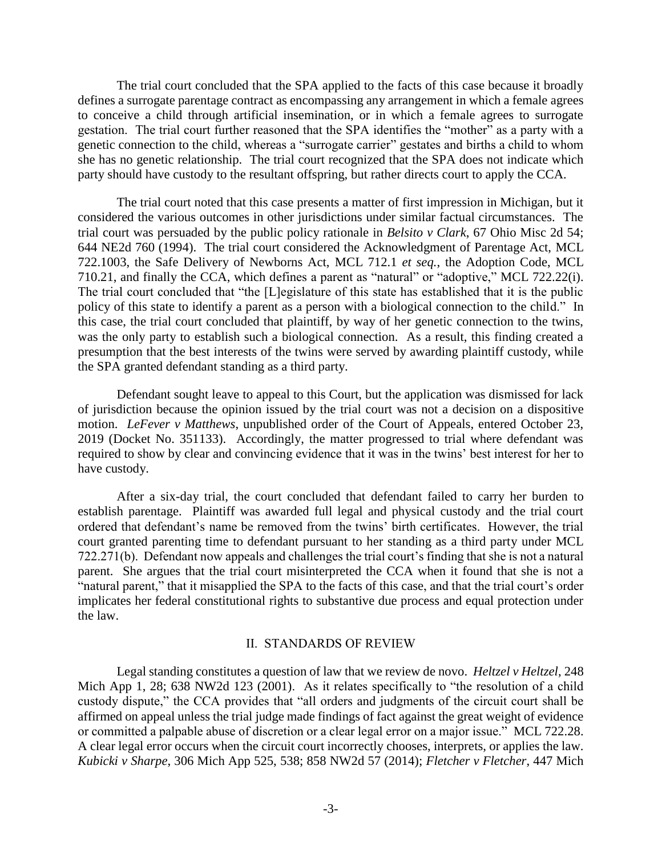The trial court concluded that the SPA applied to the facts of this case because it broadly defines a surrogate parentage contract as encompassing any arrangement in which a female agrees to conceive a child through artificial insemination, or in which a female agrees to surrogate gestation. The trial court further reasoned that the SPA identifies the "mother" as a party with a genetic connection to the child, whereas a "surrogate carrier" gestates and births a child to whom she has no genetic relationship. The trial court recognized that the SPA does not indicate which party should have custody to the resultant offspring, but rather directs court to apply the CCA.

The trial court noted that this case presents a matter of first impression in Michigan, but it considered the various outcomes in other jurisdictions under similar factual circumstances. The trial court was persuaded by the public policy rationale in *Belsito v Clark*, 67 Ohio Misc 2d 54; 644 NE2d 760 (1994). The trial court considered the Acknowledgment of Parentage Act, MCL 722.1003, the Safe Delivery of Newborns Act, MCL 712.1 *et seq.*, the Adoption Code, MCL 710.21, and finally the CCA, which defines a parent as "natural" or "adoptive," MCL 722.22(i). The trial court concluded that "the [L]egislature of this state has established that it is the public policy of this state to identify a parent as a person with a biological connection to the child." In this case, the trial court concluded that plaintiff, by way of her genetic connection to the twins, was the only party to establish such a biological connection. As a result, this finding created a presumption that the best interests of the twins were served by awarding plaintiff custody, while the SPA granted defendant standing as a third party.

Defendant sought leave to appeal to this Court, but the application was dismissed for lack of jurisdiction because the opinion issued by the trial court was not a decision on a dispositive motion. *LeFever v Matthews*, unpublished order of the Court of Appeals, entered October 23, 2019 (Docket No. 351133). Accordingly, the matter progressed to trial where defendant was required to show by clear and convincing evidence that it was in the twins' best interest for her to have custody.

After a six-day trial, the court concluded that defendant failed to carry her burden to establish parentage. Plaintiff was awarded full legal and physical custody and the trial court ordered that defendant's name be removed from the twins' birth certificates. However, the trial court granted parenting time to defendant pursuant to her standing as a third party under MCL 722.271(b). Defendant now appeals and challenges the trial court's finding that she is not a natural parent. She argues that the trial court misinterpreted the CCA when it found that she is not a "natural parent," that it misapplied the SPA to the facts of this case, and that the trial court's order implicates her federal constitutional rights to substantive due process and equal protection under the law.

#### II. STANDARDS OF REVIEW

Legal standing constitutes a question of law that we review de novo. *Heltzel v Heltzel*, 248 Mich App 1, 28; 638 NW2d 123 (2001). As it relates specifically to "the resolution of a child custody dispute," the CCA provides that "all orders and judgments of the circuit court shall be affirmed on appeal unless the trial judge made findings of fact against the great weight of evidence or committed a palpable abuse of discretion or a clear legal error on a major issue." MCL 722.28. A clear legal error occurs when the circuit court incorrectly chooses, interprets, or applies the law. *Kubicki v Sharpe*, 306 Mich App 525, 538; 858 NW2d 57 (2014); *Fletcher v Fletcher*, 447 Mich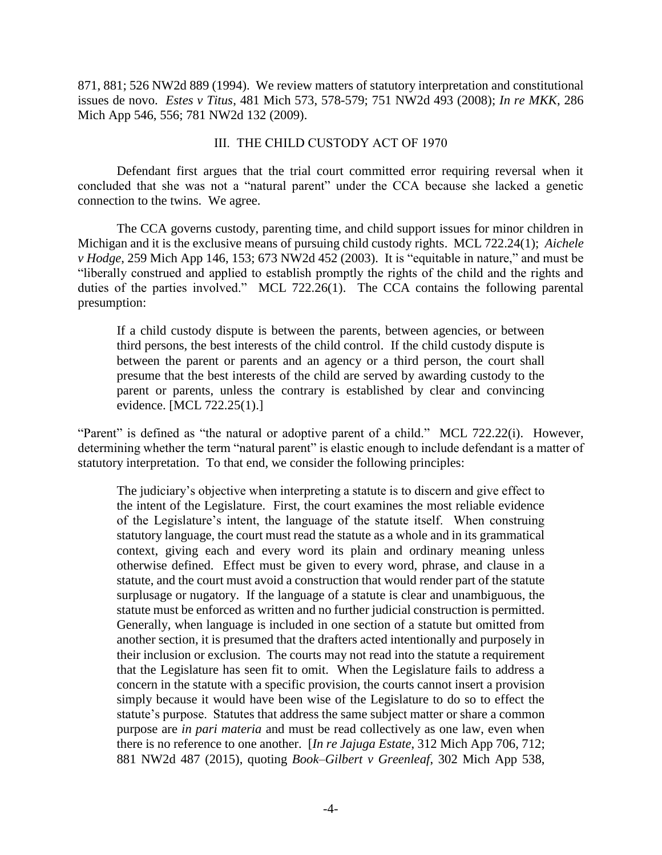871, 881; 526 NW2d 889 (1994). We review matters of statutory interpretation and constitutional issues de novo. *Estes v Titus*, 481 Mich 573, 578-579; 751 NW2d 493 (2008); *In re MKK*, 286 Mich App 546, 556; 781 NW2d 132 (2009).

#### III. THE CHILD CUSTODY ACT OF 1970

Defendant first argues that the trial court committed error requiring reversal when it concluded that she was not a "natural parent" under the CCA because she lacked a genetic connection to the twins. We agree.

The CCA governs custody, parenting time, and child support issues for minor children in Michigan and it is the exclusive means of pursuing child custody rights. MCL 722.24(1); *Aichele v Hodge*, 259 Mich App 146, 153; 673 NW2d 452 (2003). It is "equitable in nature," and must be "liberally construed and applied to establish promptly the rights of the child and the rights and duties of the parties involved." MCL 722.26(1). The CCA contains the following parental presumption:

If a child custody dispute is between the parents, between agencies, or between third persons, the best interests of the child control. If the child custody dispute is between the parent or parents and an agency or a third person, the court shall presume that the best interests of the child are served by awarding custody to the parent or parents, unless the contrary is established by clear and convincing evidence. [MCL 722.25(1).]

"Parent" is defined as "the natural or adoptive parent of a child." MCL 722.22(i). However, determining whether the term "natural parent" is elastic enough to include defendant is a matter of statutory interpretation. To that end, we consider the following principles:

The judiciary's objective when interpreting a statute is to discern and give effect to the intent of the Legislature. First, the court examines the most reliable evidence of the Legislature's intent, the language of the statute itself. When construing statutory language, the court must read the statute as a whole and in its grammatical context, giving each and every word its plain and ordinary meaning unless otherwise defined. Effect must be given to every word, phrase, and clause in a statute, and the court must avoid a construction that would render part of the statute surplusage or nugatory. If the language of a statute is clear and unambiguous, the statute must be enforced as written and no further judicial construction is permitted. Generally, when language is included in one section of a statute but omitted from another section, it is presumed that the drafters acted intentionally and purposely in their inclusion or exclusion. The courts may not read into the statute a requirement that the Legislature has seen fit to omit. When the Legislature fails to address a concern in the statute with a specific provision, the courts cannot insert a provision simply because it would have been wise of the Legislature to do so to effect the statute's purpose. Statutes that address the same subject matter or share a common purpose are *in pari materia* and must be read collectively as one law, even when there is no reference to one another. [*In re Jajuga Estate*, 312 Mich App 706, 712; 881 NW2d 487 (2015), quoting *Book–Gilbert v Greenleaf*, 302 Mich App 538,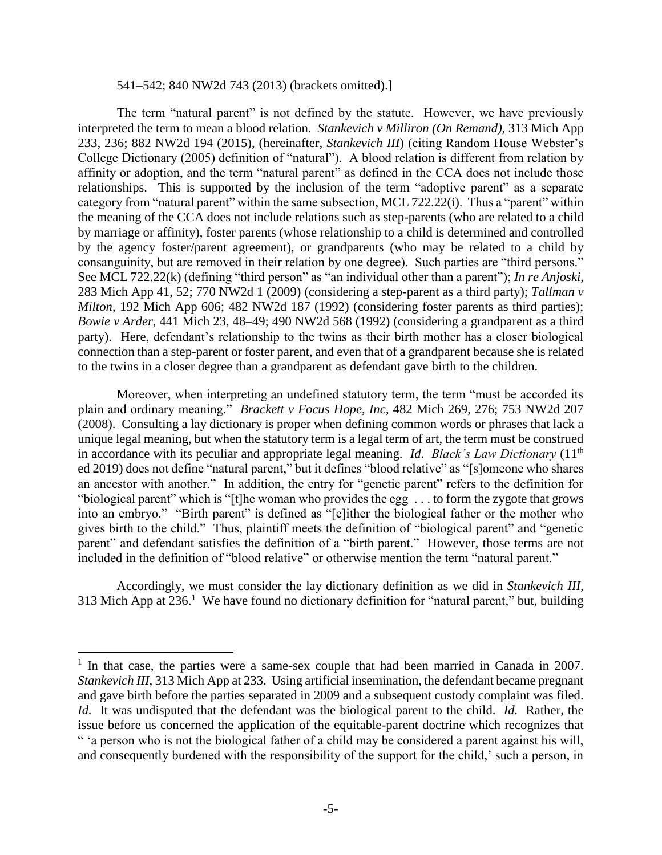#### 541–542; 840 NW2d 743 (2013) (brackets omitted).]

The term "natural parent" is not defined by the statute. However, we have previously interpreted the term to mean a blood relation. *Stankevich v Milliron (On Remand)*, 313 Mich App 233, 236; 882 NW2d 194 (2015), (hereinafter, *Stankevich III*) (citing Random House Webster's College Dictionary (2005) definition of "natural"). A blood relation is different from relation by affinity or adoption, and the term "natural parent" as defined in the CCA does not include those relationships. This is supported by the inclusion of the term "adoptive parent" as a separate category from "natural parent" within the same subsection, MCL 722.22(i). Thus a "parent" within the meaning of the CCA does not include relations such as step-parents (who are related to a child by marriage or affinity), foster parents (whose relationship to a child is determined and controlled by the agency foster/parent agreement), or grandparents (who may be related to a child by consanguinity, but are removed in their relation by one degree). Such parties are "third persons." See MCL 722.22(k) (defining "third person" as "an individual other than a parent"); *In re Anjoski*, 283 Mich App 41, 52; 770 NW2d 1 (2009) (considering a step-parent as a third party); *Tallman v Milton*, 192 Mich App 606; 482 NW2d 187 (1992) (considering foster parents as third parties); *Bowie v Arder*, 441 Mich 23, 48–49; 490 NW2d 568 (1992) (considering a grandparent as a third party). Here, defendant's relationship to the twins as their birth mother has a closer biological connection than a step-parent or foster parent, and even that of a grandparent because she is related to the twins in a closer degree than a grandparent as defendant gave birth to the children.

Moreover, when interpreting an undefined statutory term, the term "must be accorded its plain and ordinary meaning." *Brackett v Focus Hope, Inc*, 482 Mich 269, 276; 753 NW2d 207 (2008). Consulting a lay dictionary is proper when defining common words or phrases that lack a unique legal meaning, but when the statutory term is a legal term of art, the term must be construed in accordance with its peculiar and appropriate legal meaning. *Id*. *Black's Law Dictionary* (11th ed 2019) does not define "natural parent," but it defines "blood relative" as "[s]omeone who shares an ancestor with another." In addition, the entry for "genetic parent" refers to the definition for "biological parent" which is "[t]he woman who provides the egg . . . to form the zygote that grows into an embryo." "Birth parent" is defined as "[e]ither the biological father or the mother who gives birth to the child." Thus, plaintiff meets the definition of "biological parent" and "genetic parent" and defendant satisfies the definition of a "birth parent." However, those terms are not included in the definition of "blood relative" or otherwise mention the term "natural parent."

Accordingly, we must consider the lay dictionary definition as we did in *Stankevich III*, 313 Mich App at  $236$ .<sup>1</sup> We have found no dictionary definition for "natural parent," but, building

<sup>&</sup>lt;sup>1</sup> In that case, the parties were a same-sex couple that had been married in Canada in 2007. *Stankevich III*, 313 Mich App at 233. Using artificial insemination, the defendant became pregnant and gave birth before the parties separated in 2009 and a subsequent custody complaint was filed. *Id.* It was undisputed that the defendant was the biological parent to the child. *Id.* Rather, the issue before us concerned the application of the equitable-parent doctrine which recognizes that " 'a person who is not the biological father of a child may be considered a parent against his will, and consequently burdened with the responsibility of the support for the child,' such a person, in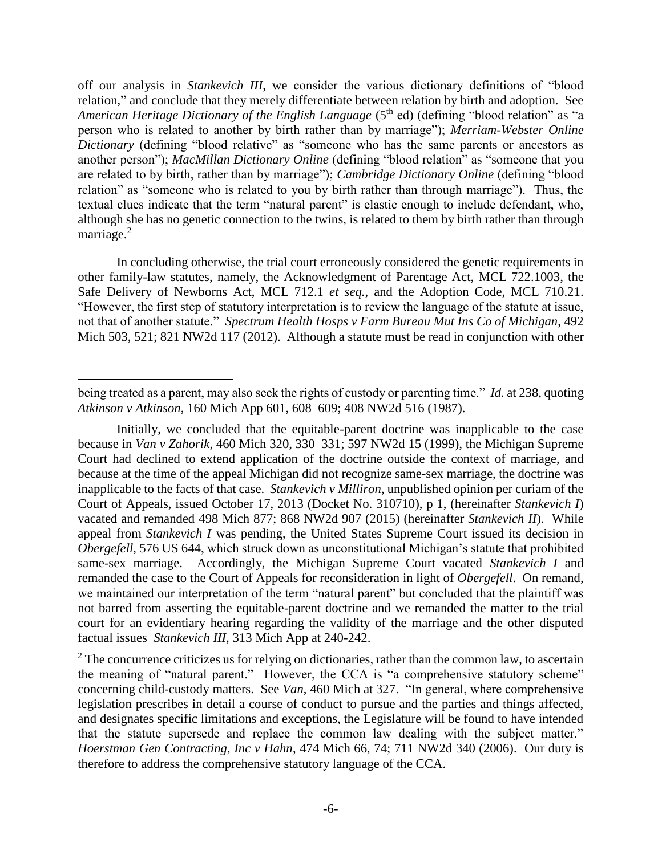off our analysis in *Stankevich III*, we consider the various dictionary definitions of "blood relation," and conclude that they merely differentiate between relation by birth and adoption. See *American Heritage Dictionary of the English Language* (5<sup>th</sup> ed) (defining "blood relation" as "a person who is related to another by birth rather than by marriage"); *Merriam-Webster Online Dictionary* (defining "blood relative" as "someone who has the same parents or ancestors as another person"); *MacMillan Dictionary Online* (defining "blood relation" as "someone that you are related to by birth, rather than by marriage"); *Cambridge Dictionary Online* (defining "blood relation" as "someone who is related to you by birth rather than through marriage"). Thus, the textual clues indicate that the term "natural parent" is elastic enough to include defendant, who, although she has no genetic connection to the twins, is related to them by birth rather than through marriage.<sup>2</sup>

In concluding otherwise, the trial court erroneously considered the genetic requirements in other family-law statutes, namely, the Acknowledgment of Parentage Act, MCL 722.1003, the Safe Delivery of Newborns Act, MCL 712.1 *et seq.*, and the Adoption Code, MCL 710.21. "However, the first step of statutory interpretation is to review the language of the statute at issue, not that of another statute." *Spectrum Health Hosps v Farm Bureau Mut Ins Co of Michigan*, 492 Mich 503, 521; 821 NW2d 117 (2012). Although a statute must be read in conjunction with other

being treated as a parent, may also seek the rights of custody or parenting time." *Id.* at 238, quoting *Atkinson v Atkinson*, 160 Mich App 601, 608–609; 408 NW2d 516 (1987).

Initially, we concluded that the equitable-parent doctrine was inapplicable to the case because in *Van v Zahorik*, 460 Mich 320, 330–331; 597 NW2d 15 (1999), the Michigan Supreme Court had declined to extend application of the doctrine outside the context of marriage, and because at the time of the appeal Michigan did not recognize same-sex marriage, the doctrine was inapplicable to the facts of that case. *Stankevich v Milliron*, unpublished opinion per curiam of the Court of Appeals, issued October 17, 2013 (Docket No. 310710), p 1, (hereinafter *Stankevich I*) vacated and remanded 498 Mich 877; 868 NW2d 907 (2015) (hereinafter *Stankevich II*). While appeal from *Stankevich I* was pending, the United States Supreme Court issued its decision in *Obergefell*, 576 US 644, which struck down as unconstitutional Michigan's statute that prohibited same-sex marriage. Accordingly, the Michigan Supreme Court vacated *Stankevich I* and remanded the case to the Court of Appeals for reconsideration in light of *Obergefell*. On remand, we maintained our interpretation of the term "natural parent" but concluded that the plaintiff was not barred from asserting the equitable-parent doctrine and we remanded the matter to the trial court for an evidentiary hearing regarding the validity of the marriage and the other disputed factual issues *Stankevich III*, 313 Mich App at 240-242.

 $2$  The concurrence criticizes us for relying on dictionaries, rather than the common law, to ascertain the meaning of "natural parent." However, the CCA is "a comprehensive statutory scheme" concerning child-custody matters. See *Van*, 460 Mich at 327. "In general, where comprehensive legislation prescribes in detail a course of conduct to pursue and the parties and things affected, and designates specific limitations and exceptions, the Legislature will be found to have intended that the statute supersede and replace the common law dealing with the subject matter." *Hoerstman Gen Contracting, Inc v Hahn*, 474 Mich 66, 74; 711 NW2d 340 (2006). Our duty is therefore to address the comprehensive statutory language of the CCA.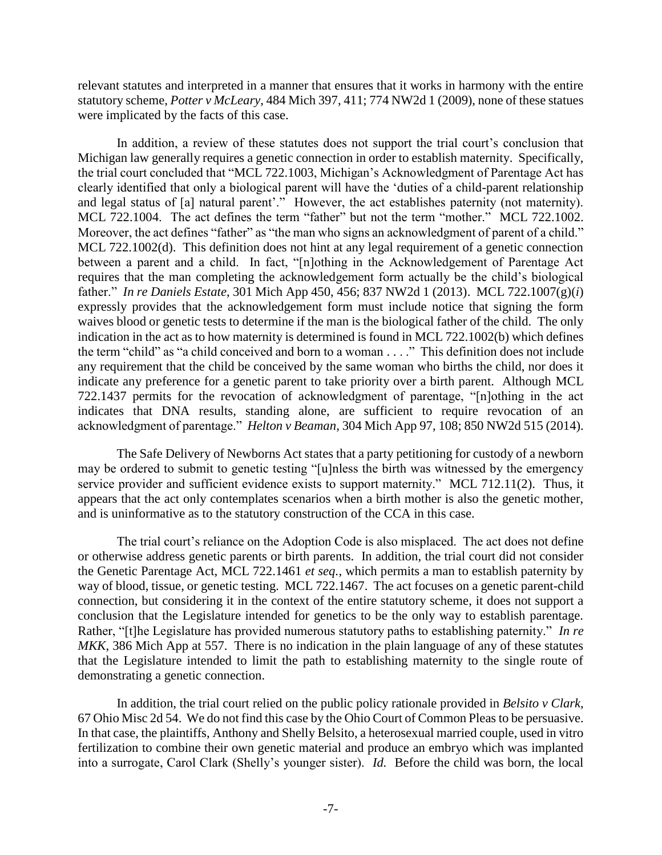relevant statutes and interpreted in a manner that ensures that it works in harmony with the entire statutory scheme, *Potter v McLeary*, 484 Mich 397, 411; 774 NW2d 1 (2009), none of these statues were implicated by the facts of this case.

In addition, a review of these statutes does not support the trial court's conclusion that Michigan law generally requires a genetic connection in order to establish maternity. Specifically, the trial court concluded that "MCL 722.1003, Michigan's Acknowledgment of Parentage Act has clearly identified that only a biological parent will have the 'duties of a child-parent relationship and legal status of [a] natural parent'." However, the act establishes paternity (not maternity). MCL 722.1004. The act defines the term "father" but not the term "mother." MCL 722.1002. Moreover, the act defines "father" as "the man who signs an acknowledgment of parent of a child." MCL 722.1002(d). This definition does not hint at any legal requirement of a genetic connection between a parent and a child. In fact, "[n]othing in the Acknowledgement of Parentage Act requires that the man completing the acknowledgement form actually be the child's biological father." *In re Daniels Estate*, 301 Mich App 450, 456; 837 NW2d 1 (2013). MCL 722.1007(g)(*i*) expressly provides that the acknowledgement form must include notice that signing the form waives blood or genetic tests to determine if the man is the biological father of the child. The only indication in the act as to how maternity is determined is found in MCL 722.1002(b) which defines the term "child" as "a child conceived and born to a woman . . . ." This definition does not include any requirement that the child be conceived by the same woman who births the child, nor does it indicate any preference for a genetic parent to take priority over a birth parent. Although MCL 722.1437 permits for the revocation of acknowledgment of parentage, "[n]othing in the act indicates that DNA results, standing alone, are sufficient to require revocation of an acknowledgment of parentage." *Helton v Beaman*, 304 Mich App 97, 108; 850 NW2d 515 (2014).

The Safe Delivery of Newborns Act states that a party petitioning for custody of a newborn may be ordered to submit to genetic testing "[u]nless the birth was witnessed by the emergency service provider and sufficient evidence exists to support maternity." MCL 712.11(2). Thus, it appears that the act only contemplates scenarios when a birth mother is also the genetic mother, and is uninformative as to the statutory construction of the CCA in this case.

The trial court's reliance on the Adoption Code is also misplaced. The act does not define or otherwise address genetic parents or birth parents. In addition, the trial court did not consider the Genetic Parentage Act, MCL 722.1461 *et seq.*, which permits a man to establish paternity by way of blood, tissue, or genetic testing. MCL 722.1467. The act focuses on a genetic parent-child connection, but considering it in the context of the entire statutory scheme, it does not support a conclusion that the Legislature intended for genetics to be the only way to establish parentage. Rather, "[t]he Legislature has provided numerous statutory paths to establishing paternity." *In re MKK*, 386 Mich App at 557. There is no indication in the plain language of any of these statutes that the Legislature intended to limit the path to establishing maternity to the single route of demonstrating a genetic connection.

In addition, the trial court relied on the public policy rationale provided in *Belsito v Clark*, 67 Ohio Misc 2d 54. We do not find this case by the Ohio Court of Common Pleas to be persuasive. In that case, the plaintiffs, Anthony and Shelly Belsito, a heterosexual married couple, used in vitro fertilization to combine their own genetic material and produce an embryo which was implanted into a surrogate, Carol Clark (Shelly's younger sister). *Id.* Before the child was born, the local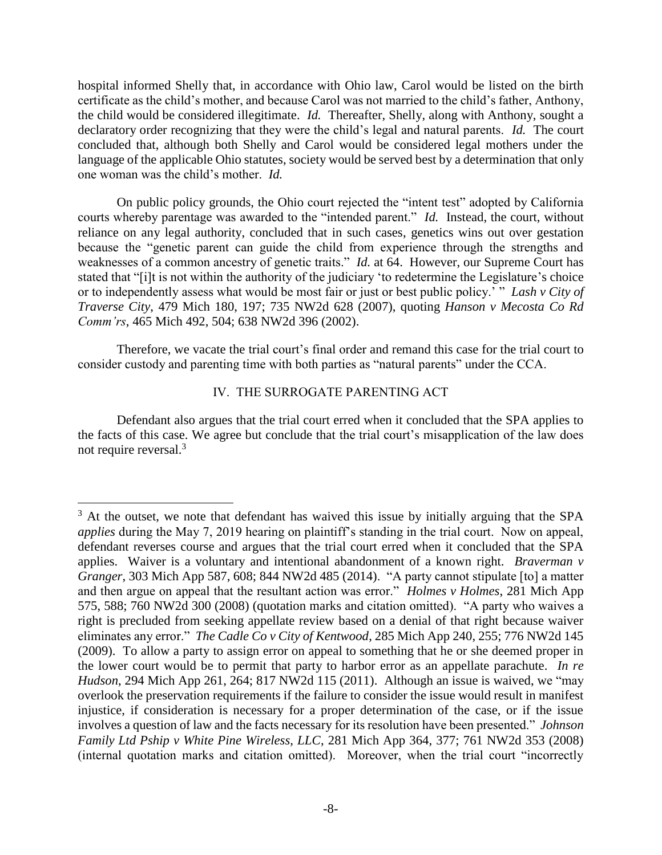hospital informed Shelly that, in accordance with Ohio law, Carol would be listed on the birth certificate as the child's mother, and because Carol was not married to the child's father, Anthony, the child would be considered illegitimate. *Id.* Thereafter, Shelly, along with Anthony, sought a declaratory order recognizing that they were the child's legal and natural parents. *Id.* The court concluded that, although both Shelly and Carol would be considered legal mothers under the language of the applicable Ohio statutes, society would be served best by a determination that only one woman was the child's mother. *Id.* 

On public policy grounds, the Ohio court rejected the "intent test" adopted by California courts whereby parentage was awarded to the "intended parent." *Id.* Instead, the court, without reliance on any legal authority, concluded that in such cases, genetics wins out over gestation because the "genetic parent can guide the child from experience through the strengths and weaknesses of a common ancestry of genetic traits." *Id.* at 64. However, our Supreme Court has stated that "[i]t is not within the authority of the judiciary 'to redetermine the Legislature's choice or to independently assess what would be most fair or just or best public policy.' " *Lash v City of Traverse City*, 479 Mich 180, 197; 735 NW2d 628 (2007), quoting *Hanson v Mecosta Co Rd Comm'rs*, 465 Mich 492, 504; 638 NW2d 396 (2002).

Therefore, we vacate the trial court's final order and remand this case for the trial court to consider custody and parenting time with both parties as "natural parents" under the CCA.

### IV. THE SURROGATE PARENTING ACT

Defendant also argues that the trial court erred when it concluded that the SPA applies to the facts of this case. We agree but conclude that the trial court's misapplication of the law does not require reversal.<sup>3</sup>

 $\overline{a}$  $3$  At the outset, we note that defendant has waived this issue by initially arguing that the SPA *applies* during the May 7, 2019 hearing on plaintiff's standing in the trial court. Now on appeal, defendant reverses course and argues that the trial court erred when it concluded that the SPA applies. Waiver is a voluntary and intentional abandonment of a known right. *Braverman v Granger*, 303 Mich App 587, 608; 844 NW2d 485 (2014). "A party cannot stipulate [to] a matter and then argue on appeal that the resultant action was error." *Holmes v Holmes*, 281 Mich App 575, 588; 760 NW2d 300 (2008) (quotation marks and citation omitted). "A party who waives a right is precluded from seeking appellate review based on a denial of that right because waiver eliminates any error." *The Cadle Co v City of Kentwood*, 285 Mich App 240, 255; 776 NW2d 145 (2009). To allow a party to assign error on appeal to something that he or she deemed proper in the lower court would be to permit that party to harbor error as an appellate parachute. *In re Hudson*, 294 Mich App 261, 264; 817 NW2d 115 (2011). Although an issue is waived, we "may overlook the preservation requirements if the failure to consider the issue would result in manifest injustice, if consideration is necessary for a proper determination of the case, or if the issue involves a question of law and the facts necessary for its resolution have been presented." *Johnson Family Ltd Pship v White Pine Wireless, LLC*, 281 Mich App 364, 377; 761 NW2d 353 (2008) (internal quotation marks and citation omitted). Moreover, when the trial court "incorrectly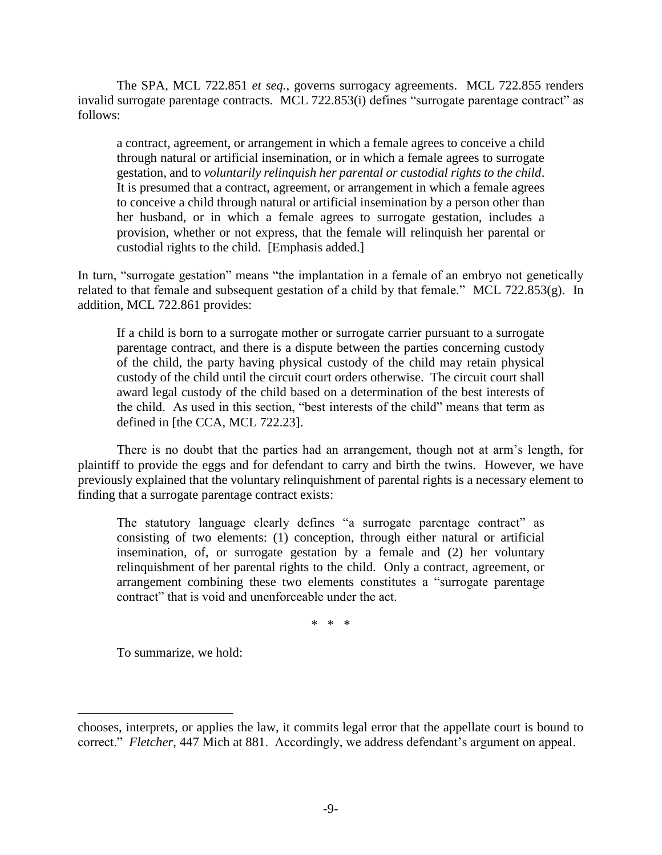The SPA, MCL 722.851 *et seq.*, governs surrogacy agreements. MCL 722.855 renders invalid surrogate parentage contracts. MCL 722.853(i) defines "surrogate parentage contract" as follows:

a contract, agreement, or arrangement in which a female agrees to conceive a child through natural or artificial insemination, or in which a female agrees to surrogate gestation, and to *voluntarily relinquish her parental or custodial rights to the child*. It is presumed that a contract, agreement, or arrangement in which a female agrees to conceive a child through natural or artificial insemination by a person other than her husband, or in which a female agrees to surrogate gestation, includes a provision, whether or not express, that the female will relinquish her parental or custodial rights to the child. [Emphasis added.]

In turn, "surrogate gestation" means "the implantation in a female of an embryo not genetically related to that female and subsequent gestation of a child by that female." MCL 722.853(g). In addition, MCL 722.861 provides:

If a child is born to a surrogate mother or surrogate carrier pursuant to a surrogate parentage contract, and there is a dispute between the parties concerning custody of the child, the party having physical custody of the child may retain physical custody of the child until the circuit court orders otherwise. The circuit court shall award legal custody of the child based on a determination of the best interests of the child. As used in this section, "best interests of the child" means that term as defined in [the CCA, MCL 722.23].

There is no doubt that the parties had an arrangement, though not at arm's length, for plaintiff to provide the eggs and for defendant to carry and birth the twins. However, we have previously explained that the voluntary relinquishment of parental rights is a necessary element to finding that a surrogate parentage contract exists:

The statutory language clearly defines "a surrogate parentage contract" as consisting of two elements: (1) conception, through either natural or artificial insemination, of, or surrogate gestation by a female and (2) her voluntary relinquishment of her parental rights to the child. Only a contract, agreement, or arrangement combining these two elements constitutes a "surrogate parentage contract" that is void and unenforceable under the act.

\* \* \*

To summarize, we hold:

chooses, interprets, or applies the law, it commits legal error that the appellate court is bound to correct." *Fletcher*, 447 Mich at 881. Accordingly, we address defendant's argument on appeal.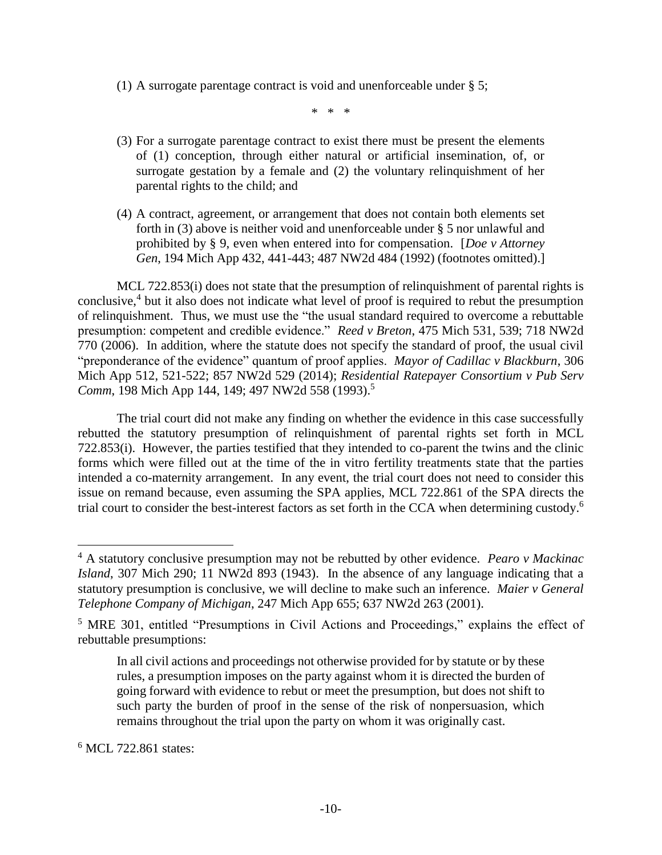(1) A surrogate parentage contract is void and unenforceable under § 5;

\* \* \*

- (3) For a surrogate parentage contract to exist there must be present the elements of (1) conception, through either natural or artificial insemination, of, or surrogate gestation by a female and (2) the voluntary relinquishment of her parental rights to the child; and
- (4) A contract, agreement, or arrangement that does not contain both elements set forth in (3) above is neither void and unenforceable under § 5 nor unlawful and prohibited by § 9, even when entered into for compensation. [*Doe v Attorney Gen*, 194 Mich App 432, 441-443; 487 NW2d 484 (1992) (footnotes omitted).]

MCL 722.853(i) does not state that the presumption of relinquishment of parental rights is conclusive,<sup>4</sup> but it also does not indicate what level of proof is required to rebut the presumption of relinquishment. Thus, we must use the "the usual standard required to overcome a rebuttable presumption: competent and credible evidence." *Reed v Breton*, 475 Mich 531, 539; 718 NW2d 770 (2006). In addition, where the statute does not specify the standard of proof, the usual civil "preponderance of the evidence" quantum of proof applies. *Mayor of Cadillac v Blackburn*, 306 Mich App 512, 521-522; 857 NW2d 529 (2014); *Residential Ratepayer Consortium v Pub Serv Comm*, 198 Mich App 144, 149; 497 NW2d 558 (1993). 5

The trial court did not make any finding on whether the evidence in this case successfully rebutted the statutory presumption of relinquishment of parental rights set forth in MCL 722.853(i). However, the parties testified that they intended to co-parent the twins and the clinic forms which were filled out at the time of the in vitro fertility treatments state that the parties intended a co-maternity arrangement. In any event, the trial court does not need to consider this issue on remand because, even assuming the SPA applies, MCL 722.861 of the SPA directs the trial court to consider the best-interest factors as set forth in the CCA when determining custody. 6

<sup>6</sup> MCL 722.861 states:

<sup>4</sup> A statutory conclusive presumption may not be rebutted by other evidence. *Pearo v Mackinac Island*, 307 Mich 290; 11 NW2d 893 (1943). In the absence of any language indicating that a statutory presumption is conclusive, we will decline to make such an inference. *Maier v General Telephone Company of Michigan*, 247 Mich App 655; 637 NW2d 263 (2001).

<sup>5</sup> MRE 301, entitled "Presumptions in Civil Actions and Proceedings," explains the effect of rebuttable presumptions:

In all civil actions and proceedings not otherwise provided for by statute or by these rules, a presumption imposes on the party against whom it is directed the burden of going forward with evidence to rebut or meet the presumption, but does not shift to such party the burden of proof in the sense of the risk of nonpersuasion, which remains throughout the trial upon the party on whom it was originally cast.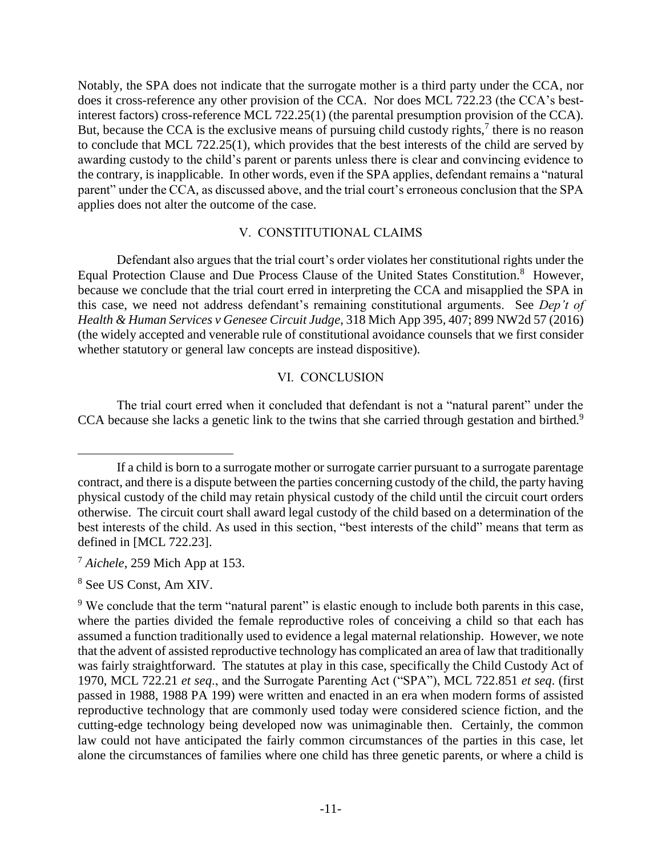Notably, the SPA does not indicate that the surrogate mother is a third party under the CCA, nor does it cross-reference any other provision of the CCA. Nor does MCL 722.23 (the CCA's bestinterest factors) cross-reference MCL 722.25(1) (the parental presumption provision of the CCA). But, because the CCA is the exclusive means of pursuing child custody rights,<sup>7</sup> there is no reason to conclude that MCL 722.25(1), which provides that the best interests of the child are served by awarding custody to the child's parent or parents unless there is clear and convincing evidence to the contrary, is inapplicable. In other words, even if the SPA applies, defendant remains a "natural parent" under the CCA, as discussed above, and the trial court's erroneous conclusion that the SPA applies does not alter the outcome of the case.

### V. CONSTITUTIONAL CLAIMS

Defendant also argues that the trial court's order violates her constitutional rights under the Equal Protection Clause and Due Process Clause of the United States Constitution.<sup>8</sup> However, because we conclude that the trial court erred in interpreting the CCA and misapplied the SPA in this case, we need not address defendant's remaining constitutional arguments. See *Dep't of Health & Human Services v Genesee Circuit Judge*, 318 Mich App 395, 407; 899 NW2d 57 (2016) (the widely accepted and venerable rule of constitutional avoidance counsels that we first consider whether statutory or general law concepts are instead dispositive).

## VI. CONCLUSION

The trial court erred when it concluded that defendant is not a "natural parent" under the CCA because she lacks a genetic link to the twins that she carried through gestation and birthed.<sup>9</sup>

<sup>7</sup> *Aichele*, 259 Mich App at 153.

<sup>8</sup> See US Const, Am XIV.

If a child is born to a surrogate mother or surrogate carrier pursuant to a surrogate parentage contract, and there is a dispute between the parties concerning custody of the child, the party having physical custody of the child may retain physical custody of the child until the circuit court orders otherwise. The circuit court shall award legal custody of the child based on a determination of the best interests of the child. As used in this section, "best interests of the child" means that term as defined in [MCL 722.23].

<sup>&</sup>lt;sup>9</sup> We conclude that the term "natural parent" is elastic enough to include both parents in this case, where the parties divided the female reproductive roles of conceiving a child so that each has assumed a function traditionally used to evidence a legal maternal relationship. However, we note that the advent of assisted reproductive technology has complicated an area of law that traditionally was fairly straightforward. The statutes at play in this case, specifically the Child Custody Act of 1970, MCL 722.21 *et seq*., and the Surrogate Parenting Act ("SPA"), MCL 722.851 *et seq*. (first passed in 1988, 1988 PA 199) were written and enacted in an era when modern forms of assisted reproductive technology that are commonly used today were considered science fiction, and the cutting-edge technology being developed now was unimaginable then. Certainly, the common law could not have anticipated the fairly common circumstances of the parties in this case, let alone the circumstances of families where one child has three genetic parents, or where a child is